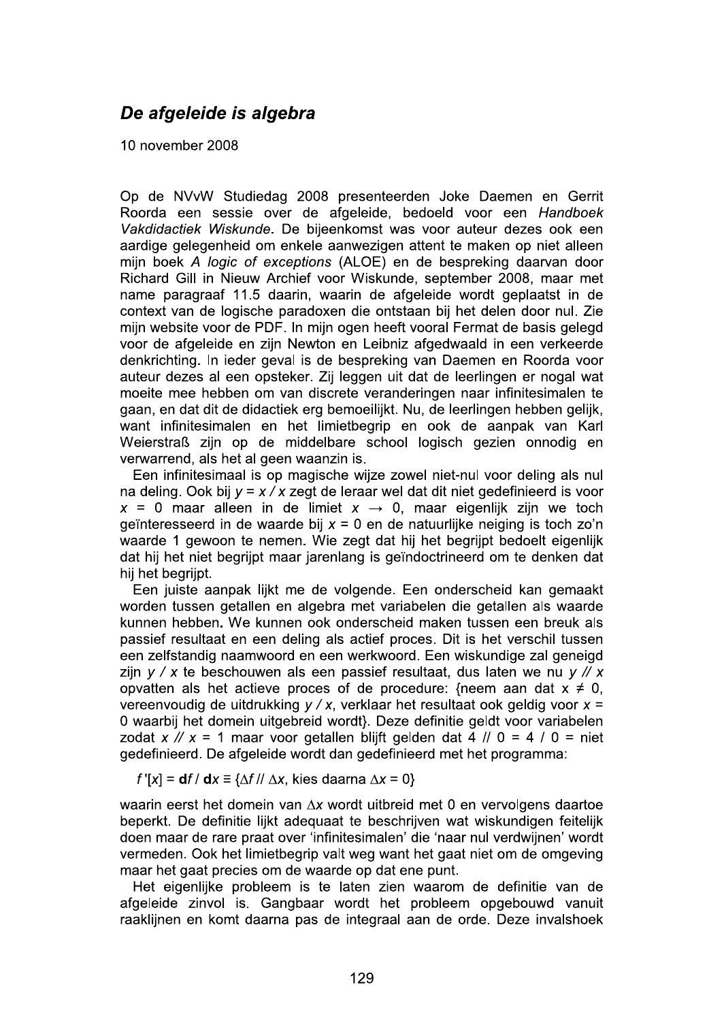## De afgeleide is algebra

10 november 2008

Op de NVvW Studiedag 2008 presenteerden Joke Daemen en Gerrit Roorda een sessie over de afgeleide, bedoeld voor een Handboek Vakdidactiek Wiskunde. De bijeenkomst was voor auteur dezes ook een aardige gelegenheid om enkele aanwezigen attent te maken op niet alleen mijn boek A logic of exceptions (ALOE) en de bespreking daarvan door Richard Gill in Nieuw Archief voor Wiskunde, september 2008, maar met name paragraaf 11.5 daarin, waarin de afgeleide wordt geplaatst in de context van de logische paradoxen die ontstaan bij het delen door nul. Zie mijn website voor de PDF. In mijn ogen heeft vooral Fermat de basis gelegd voor de afgeleide en zijn Newton en Leibniz afgedwaald in een verkeerde denkrichting. In ieder geval is de bespreking van Daemen en Roorda voor auteur dezes al een opsteker. Zij leggen uit dat de leerlingen er nogal wat moeite mee hebben om van discrete veranderingen naar infinitesimalen te gaan, en dat dit de didactiek erg bemoeilijkt. Nu, de leerlingen hebben gelijk, want infinitesimalen en het limietbegrip en ook de aanpak van Karl Weierstraß zijn op de middelbare school logisch gezien onnodig en verwarrend, als het al geen waanzin is.

Een infinitesimaal is op magische wijze zowel niet-nul voor deling als nul na deling. Ook bij  $y = x / x$  zegt de leraar wel dat dit niet gedefinieerd is voor  $x = 0$  maar alleen in de limiet  $x \rightarrow 0$ , maar eigenlijk zijn we toch geïnteresseerd in de waarde bij  $x = 0$  en de natuurlijke neiging is toch zo'n waarde 1 gewoon te nemen. Wie zegt dat hij het begrijpt bedoelt eigenlijk dat hij het niet begrijpt maar jarenlang is geïndoctrineerd om te denken dat hij het begrijpt.

Een juiste aanpak lijkt me de volgende. Een onderscheid kan gemaakt worden tussen getallen en algebra met variabelen die getallen als waarde kunnen hebben. We kunnen ook onderscheid maken tussen een breuk als passief resultaat en een deling als actief proces. Dit is het verschil tussen een zelfstandig naamwoord en een werkwoord. Een wiskundige zal geneigd zijn  $y / x$  te beschouwen als een passief resultaat, dus laten we nu  $y / x$ opvatten als het actieve proces of de procedure: {neem aan dat  $x \neq 0$ , vereenvoudig de uitdrukking  $y / x$ , verklaar het resultaat ook geldig voor  $x =$ 0 waarbij het domein uitgebreid wordt}. Deze definitie geldt voor variabelen zodat  $x \mathbin{/} \ell x = 1$  maar voor getallen blijft gelden dat 4  $\ell / 0 = 4 / 0 =$  niet gedefinieerd. De afgeleide wordt dan gedefinieerd met het programma:

f '[x] =  $df / dx \equiv \{\Delta f / \Delta x, \text{ kies daarna } \Delta x = 0\}$ 

waarin eerst het domein van  $\Delta x$  wordt uitbreid met 0 en vervolgens daartoe beperkt. De definitie lijkt adequaat te beschrijven wat wiskundigen feitelijk doen maar de rare praat over 'infinitesimalen' die 'naar nul verdwijnen' wordt vermeden. Ook het limietbegrip valt weg want het gaat niet om de omgeving maar het gaat precies om de waarde op dat ene punt.

Het eigenlijke probleem is te laten zien waarom de definitie van de afgeleide zinvol is. Gangbaar wordt het probleem opgebouwd vanuit raaklijnen en komt daarna pas de integraal aan de orde. Deze invalshoek